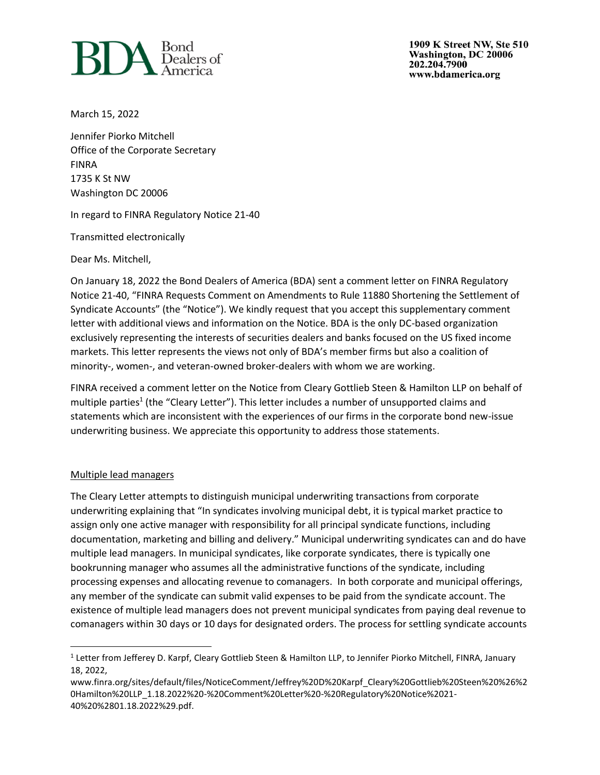

1909 K Street NW, Ste 510 Washington, DC 20006 202.204.7900 www.bdamerica.org

March 15, 2022

Jennifer Piorko Mitchell Office of the Corporate Secretary FINRA 1735 K St NW Washington DC 20006

In regard to FINRA Regulatory Notice 21-40

Transmitted electronically

Dear Ms. Mitchell,

On January 18, 2022 the Bond Dealers of America (BDA) sent a comment letter on FINRA Regulatory Notice 21-40, "FINRA Requests Comment on Amendments to Rule 11880 Shortening the Settlement of Syndicate Accounts" (the "Notice"). We kindly request that you accept this supplementary comment letter with additional views and information on the Notice. BDA is the only DC-based organization exclusively representing the interests of securities dealers and banks focused on the US fixed income markets. This letter represents the views not only of BDA's member firms but also a coalition of minority-, women-, and veteran-owned broker-dealers with whom we are working.

FINRA received a comment letter on the Notice from Cleary Gottlieb Steen & Hamilton LLP on behalf of multiple parties<sup>1</sup> (the "Cleary Letter"). This letter includes a number of unsupported claims and statements which are inconsistent with the experiences of our firms in the corporate bond new-issue underwriting business. We appreciate this opportunity to address those statements.

## Multiple lead managers

The Cleary Letter attempts to distinguish municipal underwriting transactions from corporate underwriting explaining that "In syndicates involving municipal debt, it is typical market practice to assign only one active manager with responsibility for all principal syndicate functions, including documentation, marketing and billing and delivery." Municipal underwriting syndicates can and do have multiple lead managers. In municipal syndicates, like corporate syndicates, there is typically one bookrunning manager who assumes all the administrative functions of the syndicate, including processing expenses and allocating revenue to comanagers. In both corporate and municipal offerings, any member of the syndicate can submit valid expenses to be paid from the syndicate account. The existence of multiple lead managers does not prevent municipal syndicates from paying deal revenue to comanagers within 30 days or 10 days for designated orders. The process for settling syndicate accounts

<sup>&</sup>lt;sup>1</sup> Letter from Jefferey D. Karpf, Cleary Gottlieb Steen & Hamilton LLP, to Jennifer Piorko Mitchell, FINRA, January 18, 2022,

www.finra.org/sites/default/files/NoticeComment/Jeffrey%20D%20Karpf\_Cleary%20Gottlieb%20Steen%20%26%2 0Hamilton%20LLP\_1.18.2022%20-%20Comment%20Letter%20-%20Regulatory%20Notice%2021- 40%20%2801.18.2022%29.pdf.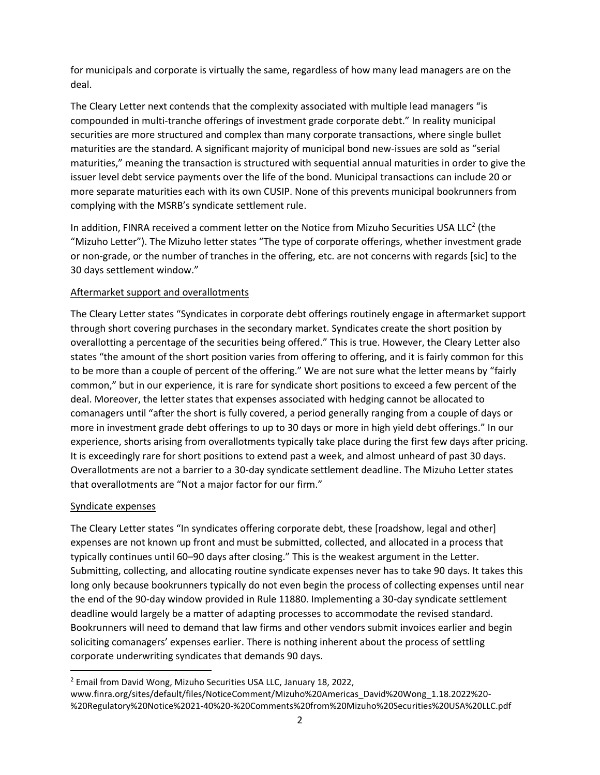for municipals and corporate is virtually the same, regardless of how many lead managers are on the deal.

The Cleary Letter next contends that the complexity associated with multiple lead managers "is compounded in multi-tranche offerings of investment grade corporate debt." In reality municipal securities are more structured and complex than many corporate transactions, where single bullet maturities are the standard. A significant majority of municipal bond new-issues are sold as "serial maturities," meaning the transaction is structured with sequential annual maturities in order to give the issuer level debt service payments over the life of the bond. Municipal transactions can include 20 or more separate maturities each with its own CUSIP. None of this prevents municipal bookrunners from complying with the MSRB's syndicate settlement rule.

In addition, FINRA received a comment letter on the Notice from Mizuho Securities USA LLC<sup>2</sup> (the "Mizuho Letter"). The Mizuho letter states "The type of corporate offerings, whether investment grade or non-grade, or the number of tranches in the offering, etc. are not concerns with regards [sic] to the 30 days settlement window."

# Aftermarket support and overallotments

The Cleary Letter states "Syndicates in corporate debt offerings routinely engage in aftermarket support through short covering purchases in the secondary market. Syndicates create the short position by overallotting a percentage of the securities being offered." This is true. However, the Cleary Letter also states "the amount of the short position varies from offering to offering, and it is fairly common for this to be more than a couple of percent of the offering." We are not sure what the letter means by "fairly common," but in our experience, it is rare for syndicate short positions to exceed a few percent of the deal. Moreover, the letter states that expenses associated with hedging cannot be allocated to comanagers until "after the short is fully covered, a period generally ranging from a couple of days or more in investment grade debt offerings to up to 30 days or more in high yield debt offerings." In our experience, shorts arising from overallotments typically take place during the first few days after pricing. It is exceedingly rare for short positions to extend past a week, and almost unheard of past 30 days. Overallotments are not a barrier to a 30-day syndicate settlement deadline. The Mizuho Letter states that overallotments are "Not a major factor for our firm."

## Syndicate expenses

The Cleary Letter states "In syndicates offering corporate debt, these [roadshow, legal and other] expenses are not known up front and must be submitted, collected, and allocated in a process that typically continues until 60–90 days after closing." This is the weakest argument in the Letter. Submitting, collecting, and allocating routine syndicate expenses never has to take 90 days. It takes this long only because bookrunners typically do not even begin the process of collecting expenses until near the end of the 90-day window provided in Rule 11880. Implementing a 30-day syndicate settlement deadline would largely be a matter of adapting processes to accommodate the revised standard. Bookrunners will need to demand that law firms and other vendors submit invoices earlier and begin soliciting comanagers' expenses earlier. There is nothing inherent about the process of settling corporate underwriting syndicates that demands 90 days.

<sup>&</sup>lt;sup>2</sup> Email from David Wong, Mizuho Securities USA LLC, January 18, 2022,

www.finra.org/sites/default/files/NoticeComment/Mizuho%20Americas\_David%20Wong\_1.18.2022%20- %20Regulatory%20Notice%2021-40%20-%20Comments%20from%20Mizuho%20Securities%20USA%20LLC.pdf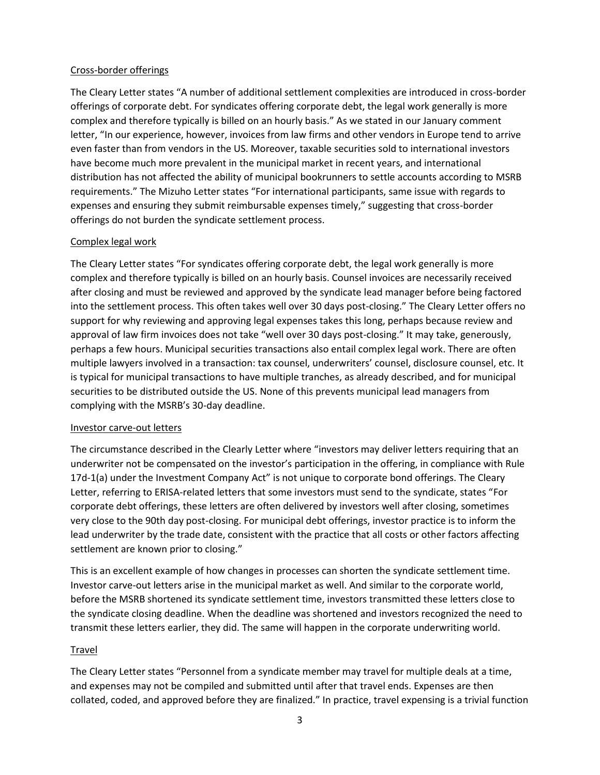# Cross-border offerings

The Cleary Letter states "A number of additional settlement complexities are introduced in cross-border offerings of corporate debt. For syndicates offering corporate debt, the legal work generally is more complex and therefore typically is billed on an hourly basis." As we stated in our January comment letter, "In our experience, however, invoices from law firms and other vendors in Europe tend to arrive even faster than from vendors in the US. Moreover, taxable securities sold to international investors have become much more prevalent in the municipal market in recent years, and international distribution has not affected the ability of municipal bookrunners to settle accounts according to MSRB requirements." The Mizuho Letter states "For international participants, same issue with regards to expenses and ensuring they submit reimbursable expenses timely," suggesting that cross-border offerings do not burden the syndicate settlement process.

# Complex legal work

The Cleary Letter states "For syndicates offering corporate debt, the legal work generally is more complex and therefore typically is billed on an hourly basis. Counsel invoices are necessarily received after closing and must be reviewed and approved by the syndicate lead manager before being factored into the settlement process. This often takes well over 30 days post-closing." The Cleary Letter offers no support for why reviewing and approving legal expenses takes this long, perhaps because review and approval of law firm invoices does not take "well over 30 days post-closing." It may take, generously, perhaps a few hours. Municipal securities transactions also entail complex legal work. There are often multiple lawyers involved in a transaction: tax counsel, underwriters' counsel, disclosure counsel, etc. It is typical for municipal transactions to have multiple tranches, as already described, and for municipal securities to be distributed outside the US. None of this prevents municipal lead managers from complying with the MSRB's 30-day deadline.

## Investor carve-out letters

The circumstance described in the Clearly Letter where "investors may deliver letters requiring that an underwriter not be compensated on the investor's participation in the offering, in compliance with Rule 17d-1(a) under the Investment Company Act" is not unique to corporate bond offerings. The Cleary Letter, referring to ERISA-related letters that some investors must send to the syndicate, states "For corporate debt offerings, these letters are often delivered by investors well after closing, sometimes very close to the 90th day post-closing. For municipal debt offerings, investor practice is to inform the lead underwriter by the trade date, consistent with the practice that all costs or other factors affecting settlement are known prior to closing."

This is an excellent example of how changes in processes can shorten the syndicate settlement time. Investor carve-out letters arise in the municipal market as well. And similar to the corporate world, before the MSRB shortened its syndicate settlement time, investors transmitted these letters close to the syndicate closing deadline. When the deadline was shortened and investors recognized the need to transmit these letters earlier, they did. The same will happen in the corporate underwriting world.

## Travel

The Cleary Letter states "Personnel from a syndicate member may travel for multiple deals at a time, and expenses may not be compiled and submitted until after that travel ends. Expenses are then collated, coded, and approved before they are finalized." In practice, travel expensing is a trivial function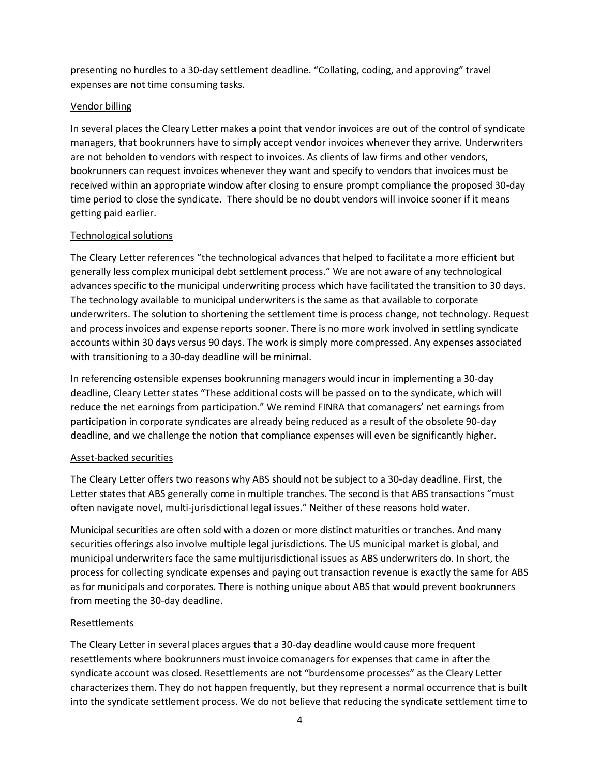presenting no hurdles to a 30-day settlement deadline. "Collating, coding, and approving" travel expenses are not time consuming tasks.

## Vendor billing

In several places the Cleary Letter makes a point that vendor invoices are out of the control of syndicate managers, that bookrunners have to simply accept vendor invoices whenever they arrive. Underwriters are not beholden to vendors with respect to invoices. As clients of law firms and other vendors, bookrunners can request invoices whenever they want and specify to vendors that invoices must be received within an appropriate window after closing to ensure prompt compliance the proposed 30-day time period to close the syndicate. There should be no doubt vendors will invoice sooner if it means getting paid earlier.

# Technological solutions

The Cleary Letter references "the technological advances that helped to facilitate a more efficient but generally less complex municipal debt settlement process." We are not aware of any technological advances specific to the municipal underwriting process which have facilitated the transition to 30 days. The technology available to municipal underwriters is the same as that available to corporate underwriters. The solution to shortening the settlement time is process change, not technology. Request and process invoices and expense reports sooner. There is no more work involved in settling syndicate accounts within 30 days versus 90 days. The work is simply more compressed. Any expenses associated with transitioning to a 30-day deadline will be minimal.

In referencing ostensible expenses bookrunning managers would incur in implementing a 30-day deadline, Cleary Letter states "These additional costs will be passed on to the syndicate, which will reduce the net earnings from participation." We remind FINRA that comanagers' net earnings from participation in corporate syndicates are already being reduced as a result of the obsolete 90-day deadline, and we challenge the notion that compliance expenses will even be significantly higher.

# Asset-backed securities

The Cleary Letter offers two reasons why ABS should not be subject to a 30-day deadline. First, the Letter states that ABS generally come in multiple tranches. The second is that ABS transactions "must often navigate novel, multi-jurisdictional legal issues." Neither of these reasons hold water.

Municipal securities are often sold with a dozen or more distinct maturities or tranches. And many securities offerings also involve multiple legal jurisdictions. The US municipal market is global, and municipal underwriters face the same multijurisdictional issues as ABS underwriters do. In short, the process for collecting syndicate expenses and paying out transaction revenue is exactly the same for ABS as for municipals and corporates. There is nothing unique about ABS that would prevent bookrunners from meeting the 30-day deadline.

# Resettlements

The Cleary Letter in several places argues that a 30-day deadline would cause more frequent resettlements where bookrunners must invoice comanagers for expenses that came in after the syndicate account was closed. Resettlements are not "burdensome processes" as the Cleary Letter characterizes them. They do not happen frequently, but they represent a normal occurrence that is built into the syndicate settlement process. We do not believe that reducing the syndicate settlement time to